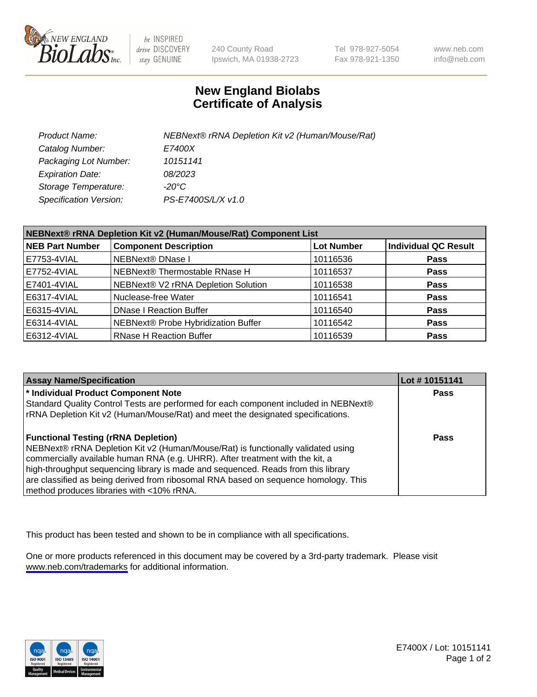

be INSPIRED drive DISCOVERY stay GENUINE

240 County Road Ipswich, MA 01938-2723 Tel 978-927-5054 Fax 978-921-1350

www.neb.com info@neb.com

## **New England Biolabs Certificate of Analysis**

| Product Name:           | NEBNext® rRNA Depletion Kit v2 (Human/Mouse/Rat) |
|-------------------------|--------------------------------------------------|
| Catalog Number:         | E7400X                                           |
| Packaging Lot Number:   | 10151141                                         |
| <b>Expiration Date:</b> | 08/2023                                          |
| Storage Temperature:    | -20°C                                            |
| Specification Version:  | PS-E7400S/L/X v1.0                               |

| NEBNext® rRNA Depletion Kit v2 (Human/Mouse/Rat) Component List |                                     |                   |                             |  |
|-----------------------------------------------------------------|-------------------------------------|-------------------|-----------------------------|--|
| <b>NEB Part Number</b>                                          | <b>Component Description</b>        | <b>Lot Number</b> | <b>Individual QC Result</b> |  |
| E7753-4VIAL                                                     | <b>NEBNext® DNase I</b>             | 10116536          | <b>Pass</b>                 |  |
| E7752-4VIAL                                                     | NEBNext® Thermostable RNase H       | 10116537          | <b>Pass</b>                 |  |
| E7401-4VIAL                                                     | NEBNext® V2 rRNA Depletion Solution | 10116538          | <b>Pass</b>                 |  |
| E6317-4VIAL                                                     | Nuclease-free Water                 | 10116541          | <b>Pass</b>                 |  |
| E6315-4VIAL                                                     | <b>DNase I Reaction Buffer</b>      | 10116540          | <b>Pass</b>                 |  |
| E6314-4VIAL                                                     | NEBNext® Probe Hybridization Buffer | 10116542          | <b>Pass</b>                 |  |
| E6312-4VIAL                                                     | <b>RNase H Reaction Buffer</b>      | 10116539          | <b>Pass</b>                 |  |

| <b>Assay Name/Specification</b>                                                      | Lot #10151141 |
|--------------------------------------------------------------------------------------|---------------|
| * Individual Product Component Note                                                  | <b>Pass</b>   |
| Standard Quality Control Tests are performed for each component included in NEBNext® |               |
| rRNA Depletion Kit v2 (Human/Mouse/Rat) and meet the designated specifications.      |               |
| <b>Functional Testing (rRNA Depletion)</b>                                           | Pass          |
| NEBNext® rRNA Depletion Kit v2 (Human/Mouse/Rat) is functionally validated using     |               |
| commercially available human RNA (e.g. UHRR). After treatment with the kit, a        |               |
| high-throughput sequencing library is made and sequenced. Reads from this library    |               |
| are classified as being derived from ribosomal RNA based on sequence homology. This  |               |
| method produces libraries with <10% rRNA.                                            |               |

This product has been tested and shown to be in compliance with all specifications.

One or more products referenced in this document may be covered by a 3rd-party trademark. Please visit <www.neb.com/trademarks>for additional information.